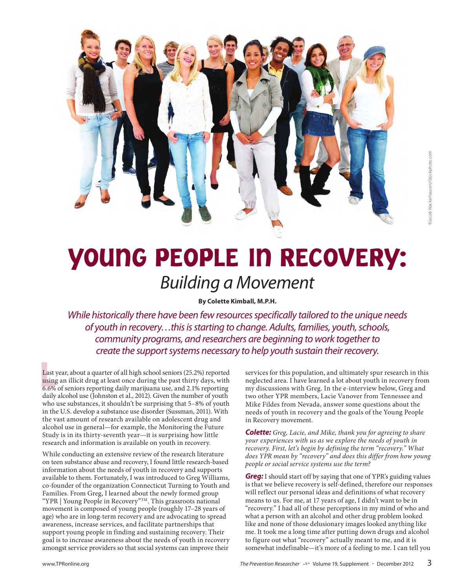

# YOUNG PEOPLE IN RECOVERY: Building a Movement

**By Colette Kimball, M.P.H.**

While historically there have been few resources specifically tailored to the unique needs of youth in recovery…this is starting to change. Adults, families, youth, schools, community programs, and researchers are beginning to work together to create the support systems necessary to help youth sustain their recovery.

Last y<br>using<br>6.6% Last year, about a quarter of all high school seniors (25.2%) reported using an illicit drug at least once during the past thirty days, with 6.6% of seniors reporting daily marijuana use, and 2.1% reporting daily alcohol use (Johnston et al., 2012). Given the number of youth who use substances, it shouldn't be surprising that 5–8% of youth in the U.S. develop a substance use disorder (Sussman, 2011). With the vast amount of research available on adolescent drug and alcohol use in general—for example, the Monitoring the Future Study is in its thirty-seventh year—it is surprising how little research and information is available on youth in recovery.

While conducting an extensive review of the research literature on teen substance abuse and recovery, I found little research-based information about the needs of youth in recovery and supports available to them. Fortunately, I was introduced to Greg Williams, co-founder of the organization Connecticut Turning to Youth and Families. From Greg, I learned about the newly formed group "YPR | Young People in Recovery"TM. This grassroots national movement is composed of young people (roughly 17–28 years of age) who are in long-term recovery and are advocating to spread awareness, increase services, and facilitate partnerships that support young people in finding and sustaining recovery. Their goal is to increase awareness about the needs of youth in recovery amongst service providers so that social systems can improve their

services for this population, and ultimately spur research in this neglected area. I have learned a lot about youth in recovery from my discussions with Greg. In the e-interview below, Greg and two other YPR members, Lacie Vanover from Tennessee and Mike Fildes from Nevada, answer some questions about the needs of youth in recovery and the goals of the Young People in Recovery movement.

*Colette: Greg, Lacie, and Mike, thank you for agreeing to share your experiences with us as we explore the needs of youth in recovery. First, let's begin by defining the term "recovery." What does YPR mean by "recovery" and does this differ from how young people or social service systems use the term?* 

*Greg:* I should start off by saying that one of YPR's guiding values is that we believe recovery is self-defined, therefore our responses will reflect our personal ideas and definitions of what recovery means to us. For me, at 17 years of age, I didn't want to be in "recovery." I had all of these perceptions in my mind of who and what a person with an alcohol and other drug problem looked like and none of those delusionary images looked anything like me. It took me a long time after putting down drugs and alcohol to figure out what "recovery" actually meant to me, and it is somewhat indefinable—it's more of a feeling to me. I can tell you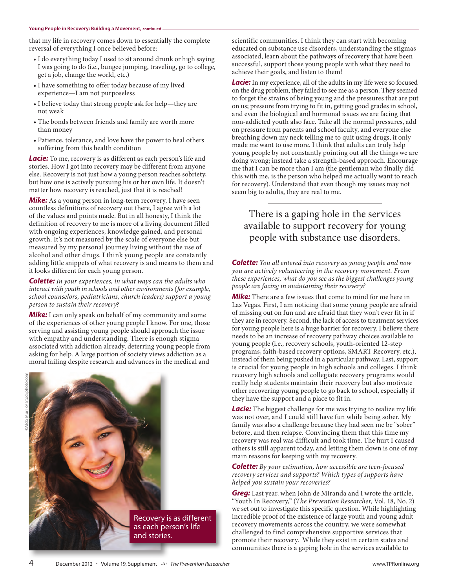#### **Young People in Recovery: Building a Movement, continued**

that my life in recovery comes down to essentially the complete reversal of everything I once believed before:

- I do everything today I used to sit around drunk or high saying I was going to do (i.e., bungee jumping, traveling, go to college, get a job, change the world, etc.)
- I have something to offer today because of my lived experience—I am not purposeless
- I believe today that strong people ask for help—they are not weak
- The bonds between friends and family are worth more than money
- Patience, tolerance, and love have the power to heal others suffering from this health condition

*Lacie:* To me, recovery is as different as each person's life and stories. How I got into recovery may be different from anyone else. Recovery is not just how a young person reaches sobriety, but how one is actively pursuing his or her own life. It doesn't matter how recovery is reached, just that it is reached!

*Mike:* As a young person in long-term recovery, I have seen countless definitions of recovery out there, I agree with a lot of the values and points made. But in all honesty, I think the definition of recovery to me is more of a living document filled with ongoing experiences, knowledge gained, and personal growth. It's not measured by the scale of everyone else but measured by my personal journey living without the use of alcohol and other drugs. I think young people are constantly adding little snippets of what recovery is and means to them and it looks different for each young person.

*Colette: In your experiences, in what ways can the adults who interact with youth in schools and other environments (for example, school counselors, pediatricians, church leaders) support a young person to sustain their recovery?*

*Mike:* I can only speak on behalf of my community and some of the experiences of other young people I know. For one, those serving and assisting young people should approach the issue with empathy and understanding. There is enough stigma associated with addiction already, deterring young people from asking for help. A large portion of society views addiction as a moral failing despite research and advances in the medical and



scientific communities. I think they can start with becoming educated on substance use disorders, understanding the stigmas associated, learn about the pathways of recovery that have been successful, support those young people with what they need to achieve their goals, and listen to them!

**Lacie:** In my experience, all of the adults in my life were so focused on the drug problem, they failed to see me as a person. They seemed to forget the strains of being young and the pressures that are put on us; pressure from trying to fit in, getting good grades in school, and even the biological and hormonal issues we are facing that non-addicted youth also face. Take all the normal pressures, add on pressure from parents and school faculty, and everyone else breathing down my neck telling me to quit using drugs, it only made me want to use more. I think that adults can truly help young people by not constantly pointing out all the things we are doing wrong; instead take a strength-based approach. Encourage me that I can be more than I am (the gentleman who finally did this with me, is the person who helped me actually want to reach for recovery). Understand that even though my issues may not seem big to adults, they are real to me.

# There is a gaping hole in the services available to support recovery for young people with substance use disorders.

*Colette: You all entered into recovery as young people and now you are actively volunteering in the recovery movement. From these experiences, what do you see as the biggest challenges young people are facing in maintaining their recovery?* 

*Mike:* There are a few issues that come to mind for me here in Las Vegas. First, I am noticing that some young people are afraid of missing out on fun and are afraid that they won't ever fit in if they are in recovery. Second, the lack of access to treatment services for young people here is a huge barrier for recovery. I believe there needs to be an increase of recovery pathway choices available to young people (i.e., recovery schools, youth-oriented 12-step programs, faith-based recovery options, SMART Recovery, etc.), instead of them being pushed in a particular pathway. Last, support is crucial for young people in high schools and colleges. I think recovery high schools and collegiate recovery programs would really help students maintain their recovery but also motivate other recovering young people to go back to school, especially if they have the support and a place to fit in.

*Lacie:* The biggest challenge for me was trying to realize my life was not over, and I could still have fun while being sober. My family was also a challenge because they had seen me be "sober" before, and then relapse. Convincing them that this time my recovery was real was difficult and took time. The hurt I caused others is still apparent today, and letting them down is one of my main reasons for keeping with my recovery.

### *Colette: By your estimation, how accessible are teen-focused recovery services and supports? Which types of supports have helped you sustain your recoveries?*

*Greg:* Last year, when John de Miranda and I wrote the article, "Youth In Recovery," (*The Prevention Researcher,* Vol. 18, No. 2) we set out to investigate this specific question. While highlighting incredible proof of the existence of large youth and young adult recovery movements across the country, we were somewhat challenged to find comprehensive supportive services that promote their recovery. While they exist in certain states and communities there is a gaping hole in the services available to